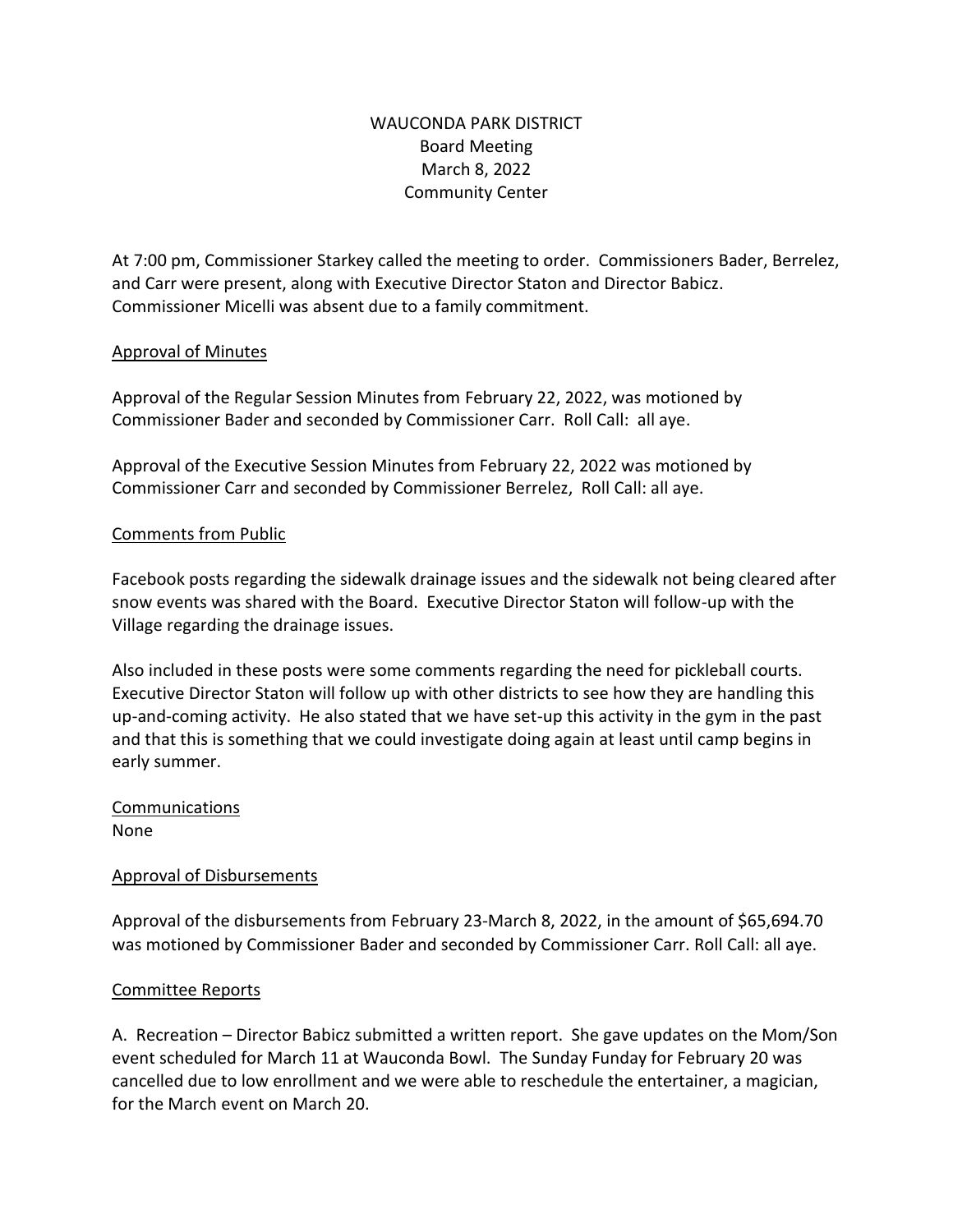# WAUCONDA PARK DISTRICT Board Meeting March 8, 2022 Community Center

At 7:00 pm, Commissioner Starkey called the meeting to order. Commissioners Bader, Berrelez, and Carr were present, along with Executive Director Staton and Director Babicz. Commissioner Micelli was absent due to a family commitment.

## Approval of Minutes

Approval of the Regular Session Minutes from February 22, 2022, was motioned by Commissioner Bader and seconded by Commissioner Carr. Roll Call: all aye.

Approval of the Executive Session Minutes from February 22, 2022 was motioned by Commissioner Carr and seconded by Commissioner Berrelez, Roll Call: all aye.

## Comments from Public

Facebook posts regarding the sidewalk drainage issues and the sidewalk not being cleared after snow events was shared with the Board. Executive Director Staton will follow-up with the Village regarding the drainage issues.

Also included in these posts were some comments regarding the need for pickleball courts. Executive Director Staton will follow up with other districts to see how they are handling this up-and-coming activity. He also stated that we have set-up this activity in the gym in the past and that this is something that we could investigate doing again at least until camp begins in early summer.

#### Communications None

#### Approval of Disbursements

Approval of the disbursements from February 23-March 8, 2022, in the amount of \$65,694.70 was motioned by Commissioner Bader and seconded by Commissioner Carr. Roll Call: all aye.

#### Committee Reports

A. Recreation – Director Babicz submitted a written report. She gave updates on the Mom/Son event scheduled for March 11 at Wauconda Bowl. The Sunday Funday for February 20 was cancelled due to low enrollment and we were able to reschedule the entertainer, a magician, for the March event on March 20.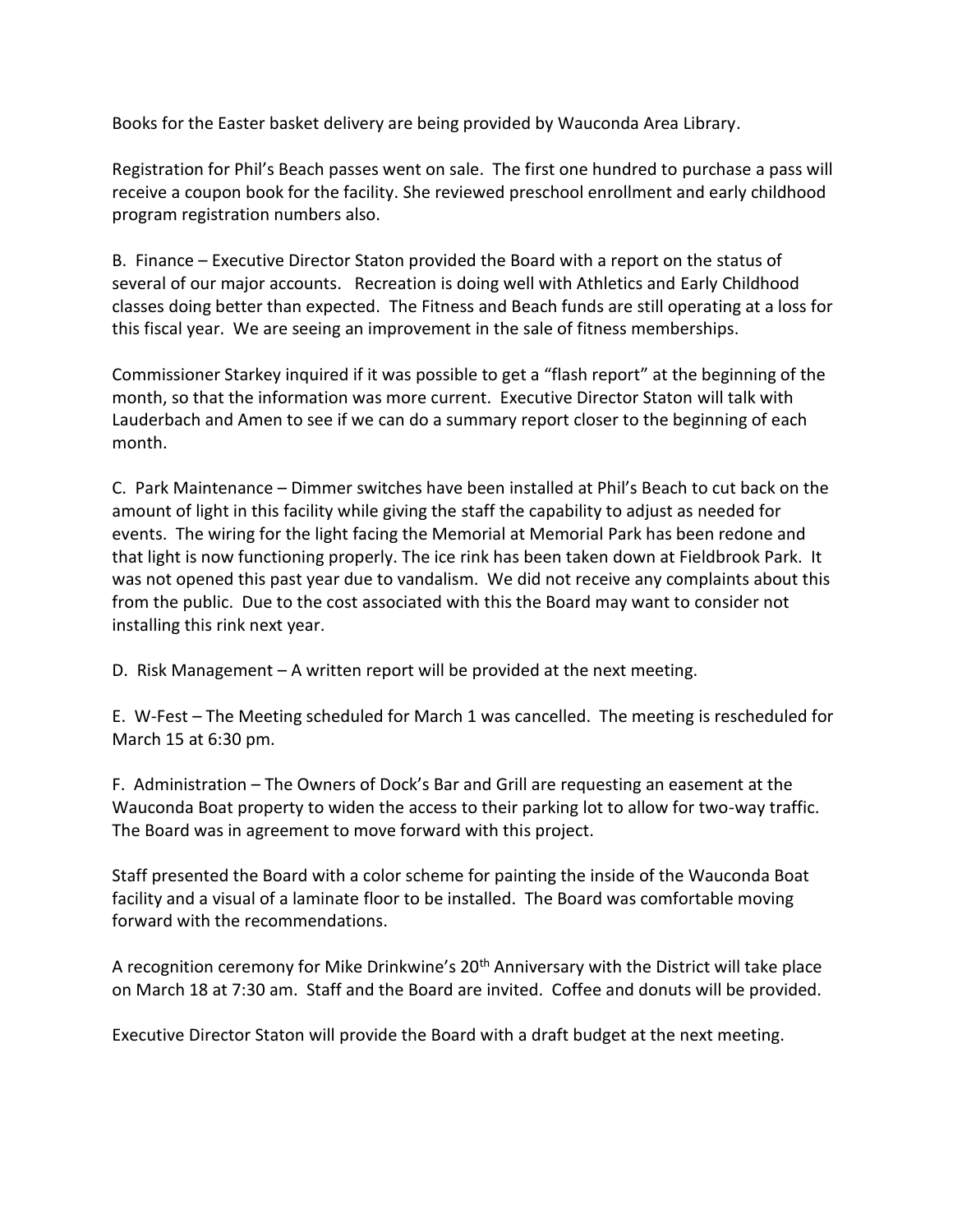Books for the Easter basket delivery are being provided by Wauconda Area Library.

Registration for Phil's Beach passes went on sale. The first one hundred to purchase a pass will receive a coupon book for the facility. She reviewed preschool enrollment and early childhood program registration numbers also.

B. Finance – Executive Director Staton provided the Board with a report on the status of several of our major accounts. Recreation is doing well with Athletics and Early Childhood classes doing better than expected. The Fitness and Beach funds are still operating at a loss for this fiscal year. We are seeing an improvement in the sale of fitness memberships.

Commissioner Starkey inquired if it was possible to get a "flash report" at the beginning of the month, so that the information was more current. Executive Director Staton will talk with Lauderbach and Amen to see if we can do a summary report closer to the beginning of each month.

C. Park Maintenance – Dimmer switches have been installed at Phil's Beach to cut back on the amount of light in this facility while giving the staff the capability to adjust as needed for events. The wiring for the light facing the Memorial at Memorial Park has been redone and that light is now functioning properly. The ice rink has been taken down at Fieldbrook Park. It was not opened this past year due to vandalism. We did not receive any complaints about this from the public. Due to the cost associated with this the Board may want to consider not installing this rink next year.

D. Risk Management – A written report will be provided at the next meeting.

E. W-Fest – The Meeting scheduled for March 1 was cancelled. The meeting is rescheduled for March 15 at 6:30 pm.

F. Administration – The Owners of Dock's Bar and Grill are requesting an easement at the Wauconda Boat property to widen the access to their parking lot to allow for two-way traffic. The Board was in agreement to move forward with this project.

Staff presented the Board with a color scheme for painting the inside of the Wauconda Boat facility and a visual of a laminate floor to be installed. The Board was comfortable moving forward with the recommendations.

A recognition ceremony for Mike Drinkwine's 20<sup>th</sup> Anniversary with the District will take place on March 18 at 7:30 am. Staff and the Board are invited. Coffee and donuts will be provided.

Executive Director Staton will provide the Board with a draft budget at the next meeting.